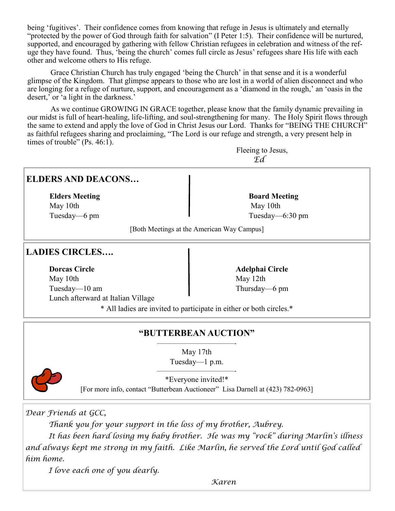being 'fugitives'. Their confidence comes from knowing that refuge in Jesus is ultimately and eternally "protected by the power of God through faith for salvation" (I Peter 1:5). Their confidence will be nurtured, supported, and encouraged by gathering with fellow Christian refugees in celebration and witness of the refuge they have found. Thus, 'being the church' comes full circle as Jesus' refugees share His life with each other and welcome others to His refuge.

Grace Christian Church has truly engaged 'being the Church' in that sense and it is a wonderful glimpse of the Kingdom. That glimpse appears to those who are lost in a world of alien disconnect and who are longing for a refuge of nurture, support, and encouragement as a 'diamond in the rough,' an 'oasis in the desert,' or 'a light in the darkness.'

As we continue GROWING IN GRACE together, please know that the family dynamic prevailing in our midst is full of heart-healing, life-lifting, and soul-strengthening for many. The Holy Spirit flows through the same to extend and apply the love of God in Christ Jesus our Lord. Thanks for "BEING THE CHURCH" as faithful refugees sharing and proclaiming, "The Lord is our refuge and strength, a very present help in times of trouble" (Ps. 46:1).

> Fleeing to Jesus, *Ed*

#### **ELDERS AND DEACONS…**

**Elders Meeting Community Community Community Board Meeting Community Community Community Board Meeting** May 10th May 10th

Tuesday—6 pm Tuesday—6:30 pm

[Both Meetings at the American Way Campus]

#### **LADIES CIRCLES….**

**Dorcas Circle 2020 12:20 12:20 12:20 12:20 12:20 12:20 12:20 12:20 12:20 12:20 12:20 12:20 12:20 12:20 12:20 12:20 12:20 12:20 12:20 12:20 12:20 12:20 12:20 12:20 12:20 12:20 12:20 12:20 12:20 12:20 12:20 12:20 12:20 12:2** May 10th May 12th Tuesday—10 am Thursday—6 pm Lunch afterward at Italian Village

\* All ladies are invited to participate in either or both circles.\*

#### **"BUTTERBEAN AUCTION"** ————————————-

May 17th Tuesday—1 p.m.

————————————-



\*Everyone invited!\* [For more info, contact "Butterbean Auctioneer" Lisa Darnell at (423) 782-0963]

*Dear Friends at GCC,*

*Thank you for your support in the loss of my brother, Aubrey.* 

*It has been hard losing my baby brother. He was my "rock" during Marlin's illness and always kept me strong in my faith. Like Marlin, he served the Lord until God called him home.*

*I love each one of you dearly.*

*Karen*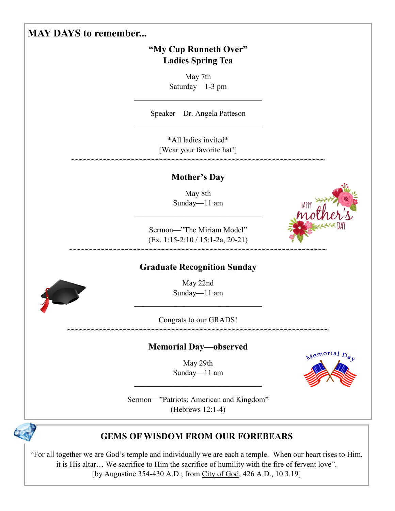# **MAY DAYS to remember...**

# **"My Cup Runneth Over" Ladies Spring Tea**

May 7th Saturday—1-3 pm

Speaker—Dr. Angela Patteson

\*All ladies invited\* [Wear your favorite hat!]

#### **Mother's Day**

**~~~~~~~~~~~~~~~~~~~~~~~~~~~~~~~~~~~~~~~~~~~~~~~~~~~~~~~~~~~~~~~**

May 8th Sunday—11 am

Sermon—"The Miriam Model" (Ex. 1:15-2:10 / 15:1-2a, 20-21)

#### **Graduate Recognition Sunday**

**~~~~~~~~~~~~~~~~~~~~~~~~~~~~~~~~~~~~~~~~~~~~~~~~~~~~~~~~~~~~~~~~**

May 22nd Sunday—11 am

Congrats to our GRADS! **~~~~~~~~~~~~~~~~~~~~~~~~~~~~~~~~~~~~~~~~~~~~~~~~~~~~~~~~~~~~~~~~~**

# **Memorial Day—observed**

May 29th Sunday—11 am



Sermon—"Patriots: American and Kingdom" (Hebrews 12:1-4)



# **GEMS OF WISDOM FROM OUR FOREBEARS**

"For all together we are God's temple and individually we are each a temple. When our heart rises to Him, it is His altar… We sacrifice to Him the sacrifice of humility with the fire of fervent love". [by Augustine 354-430 A.D.; from City of God, 426 A.D., 10.3.19]



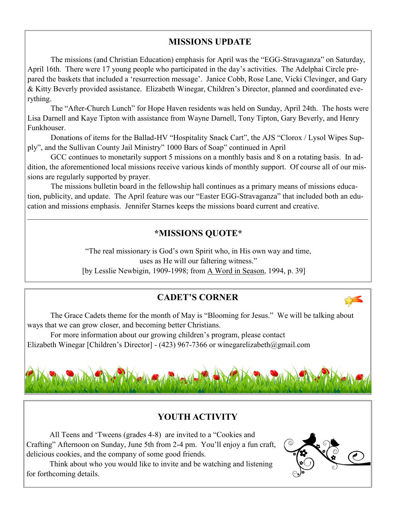#### **MISSIONS UPDATE**

The missions (and Christian Education) emphasis for April was the "EGG-Stravaganza" on Saturday, April 16th. There were 17 young people who participated in the day's activities. The Adelphai Circle prepared the baskets that included a 'resurrection message'. Janice Cobb, Rose Lane, Vicki Clevinger, and Gary & Kitty Beverly provided assistance. Elizabeth Winegar, Children's Director, planned and coordinated everything.

The "After-Church Lunch" for Hope Haven residents was held on Sunday, April 24th. The hosts were Lisa Darnell and Kaye Tipton with assistance from Wayne Darnell, Tony Tipton, Gary Beverly, and Henry Funkhouser.

Donations of items for the Ballad-HV "Hospitality Snack Cart", the AJS "Clorox / Lysol Wipes Supply", and the Sullivan County Jail Ministry" 1000 Bars of Soap" continued in April

GCC continues to monetarily support 5 missions on a monthly basis and 8 on a rotating basis. In addition, the aforementioned local missions receive various kinds of monthly support. Of course all of our missions are regularly supported by prayer.

The missions bulletin board in the fellowship hall continues as a primary means of missions education, publicity, and update. The April feature was our "Easter EGG-Stravaganza" that included both an education and missions emphasis. Jennifer Starnes keeps the missions board current and creative.

# **\*MISSIONS QUOTE\***

"The real missionary is God's own Spirit who, in His own way and time, uses as He will our faltering witness." [by Lesslie Newbigin, 1909-1998; from A Word in Season, 1994, p. 39]

# **CADET'S CORNER**

The Grace Cadets theme for the month of May is "Blooming for Jesus." We will be talking about ways that we can grow closer, and becoming better Christians.

For more information about our growing children's program, please contact Elizabeth Winegar [Children's Director] - (423) 967-7366 or winegarelizabeth@gmail.com



# **YOUTH ACTIVITY**

All Teens and 'Tweens (grades 4-8) are invited to a "Cookies and Crafting" Afternoon on Sunday, June 5th from 2-4 pm. You'll enjoy a fun craft, delicious cookies, and the company of some good friends.

Think about who you would like to invite and be watching and listening for forthcoming details.

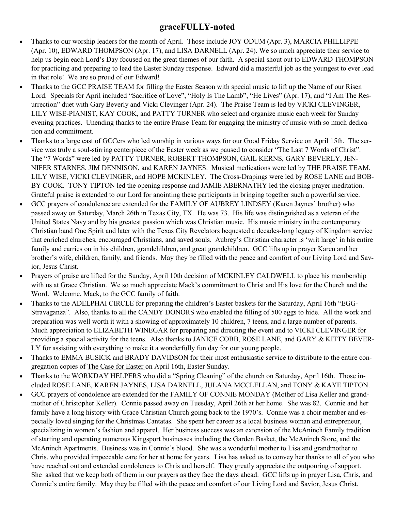#### **graceFULLY-noted**

- Thanks to our worship leaders for the month of April. Those include JOY ODUM (Apr. 3), MARCIA PHILLIPPE (Apr. 10), EDWARD THOMPSON (Apr. 17), and LISA DARNELL (Apr. 24). We so much appreciate their service to help us begin each Lord's Day focused on the great themes of our faith. A special shout out to EDWARD THOMPSON for practicing and preparing to lead the Easter Sunday response. Edward did a masterful job as the youngest to ever lead in that role! We are so proud of our Edward!
- Thanks to the GCC PRAISE TEAM for filling the Easter Season with special music to lift up the Name of our Risen Lord. Specials for April included "Sacrifice of Love", "Holy Is The Lamb", "He Lives" (Apr. 17), and "I Am The Resurrection" duet with Gary Beverly and Vicki Clevinger (Apr. 24). The Praise Team is led by VICKI CLEVINGER, LILY WISE-PIANIST, KAY COOK, and PATTY TURNER who select and organize music each week for Sunday evening practices. Unending thanks to the entire Praise Team for engaging the ministry of music with so much dedication and commitment.
- Thanks to a large cast of GCCers who led worship in various ways for our Good Friday Service on April 15th. The service was truly a soul-stirring centerpiece of the Easter week as we paused to consider "The Last 7 Words of Christ". The "7 Words" were led by PATTY TURNER, ROBERT THOMPSON, GAIL KERNS, GARY BEVERLY, JEN-NIFER STARNES, JIM DENNISON, and KAREN JAYNES. Musical medications were led by THE PRAISE TEAM, LILY WISE, VICKI CLEVINGER, and HOPE MCKINLEY. The Cross-Drapings were led by ROSE LANE and BOB-BY COOK. TONY TIPTON led the opening response and JAMIE ABERNATHY led the closing prayer meditation. Grateful praise is extended to our Lord for anointing these participants in bringing together such a powerful service.
- GCC prayers of condolence are extended for the FAMILY OF AUBREY LINDSEY (Karen Jaynes' brother) who passed away on Saturday, March 26th in Texas City, TX. He was 73. His life was distinguished as a veteran of the United States Navy and by his greatest passion which was Christian music. His music ministry in the contemporary Christian band One Spirit and later with the Texas City Revelators bequested a decades-long legacy of Kingdom service that enriched churches, encouraged Christians, and saved souls. Aubrey's Christian character is 'writ large' in his entire family and carries on in his children, grandchildren, and great grandchildren. GCC lifts up in prayer Karen and her brother's wife, children, family, and friends. May they be filled with the peace and comfort of our Living Lord and Savior, Jesus Christ.
- Prayers of praise are lifted for the Sunday, April 10th decision of MCKINLEY CALDWELL to place his membership with us at Grace Christian. We so much appreciate Mack's commitment to Christ and His love for the Church and the Word. Welcome, Mack, to the GCC family of faith.
- Thanks to the ADELPHAI CIRCLE for preparing the children's Easter baskets for the Saturday, April 16th "EGG-Stravaganza". Also, thanks to all the CANDY DONORS who enabled the filling of 500 eggs to hide. All the work and preparation was well worth it with a showing of approximately 10 children, 7 teens, and a large number of parents. Much appreciation to ELIZABETH WINEGAR for preparing and directing the event and to VICKI CLEVINGER for providing a special activity for the teens. Also thanks to JANICE COBB, ROSE LANE, and GARY & KITTY BEVER-LY for assisting with everything to make it a wonderfully fun day for our young people.
- Thanks to EMMA BUSICK and BRADY DAVIDSON for their most enthusiastic service to distribute to the entire congregation copies of The Case for Easter on April 16th, Easter Sunday.
- Thanks to the WORKDAY HELPERS who did a "Spring Cleaning" of the church on Saturday, April 16th. Those included ROSE LANE, KAREN JAYNES, LISA DARNELL, JULANA MCCLELLAN, and TONY & KAYE TIPTON.
- GCC prayers of condolence are extended for the FAMILY OF CONNIE MONDAY (Mother of Lisa Keller and grandmother of Christopher Keller). Connie passed away on Tuesday, April 26th at her home. She was 82. Connie and her family have a long history with Grace Christian Church going back to the 1970's. Connie was a choir member and especially loved singing for the Christmas Cantatas. She spent her career as a local business woman and entrepreneur, specializing in women's fashion and apparel. Her business success was an extension of the McAninch Family tradition of starting and operating numerous Kingsport businesses including the Garden Basket, the McAninch Store, and the McAninch Apartments. Business was in Connie's blood. She was a wonderful mother to Lisa and grandmother to Chris, who provided impeccable care for her at home for years. Lisa has asked us to convey her thanks to all of you who have reached out and extended condolences to Chris and herself. They greatly appreciate the outpouring of support. She asked that we keep both of them in our prayers as they face the days ahead. GCC lifts up in prayer Lisa, Chris, and Connie's entire family. May they be filled with the peace and comfort of our Living Lord and Savior, Jesus Christ.